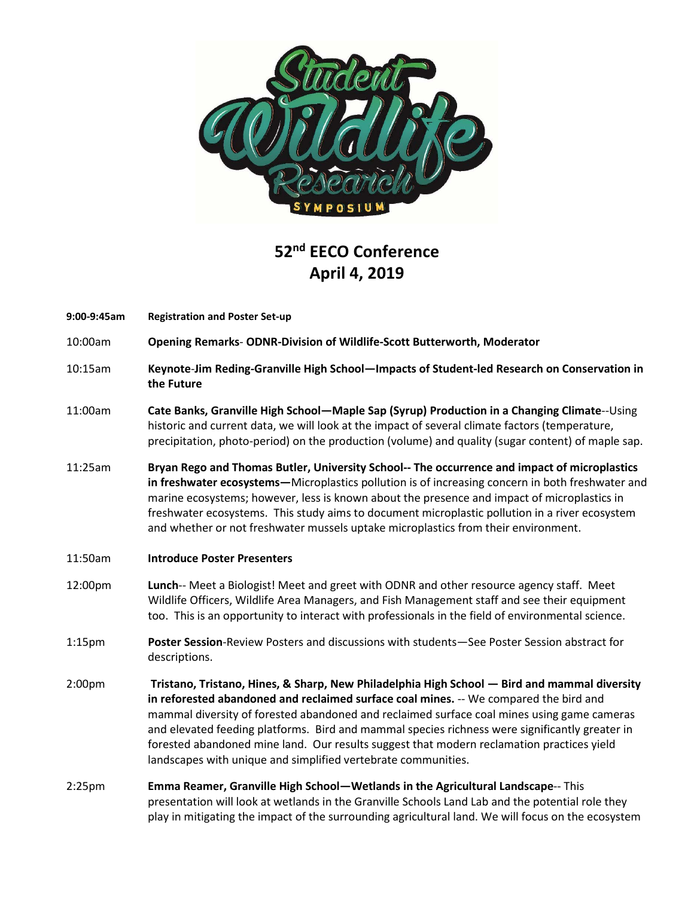

## **52nd EECO Conference April 4, 2019**

**9:00-9:45am Registration and Poster Set-up** 10:00am **Opening Remarks**- **ODNR-Division of Wildlife-Scott Butterworth, Moderator** 10:15am **Keynote**-**Jim Reding-Granville High School—Impacts of Student-led Research on Conservation in the Future** 11:00am **Cate Banks, Granville High School—Maple Sap (Syrup) Production in a Changing Climate**--Using historic and current data, we will look at the impact of several climate factors (temperature, precipitation, photo-period) on the production (volume) and quality (sugar content) of maple sap. 11:25am **Bryan Rego and Thomas Butler, University School-- The occurrence and impact of microplastics in freshwater ecosystems—**Microplastics pollution is of increasing concern in both freshwater and marine ecosystems; however, less is known about the presence and impact of microplastics in freshwater ecosystems. This study aims to document microplastic pollution in a river ecosystem and whether or not freshwater mussels uptake microplastics from their environment. 11:50am **Introduce Poster Presenters** 12:00pm **Lunch**-- Meet a Biologist! Meet and greet with ODNR and other resource agency staff. Meet Wildlife Officers, Wildlife Area Managers, and Fish Management staff and see their equipment too. This is an opportunity to interact with professionals in the field of environmental science. 1:15pm **Poster Session**-Review Posters and discussions with students—See Poster Session abstract for descriptions. 2:00pm **Tristano, Tristano, Hines, & Sharp, New Philadelphia High School — Bird and mammal diversity in reforested abandoned and reclaimed surface coal mines.** -- We compared the bird and mammal diversity of forested abandoned and reclaimed surface coal mines using game cameras and elevated feeding platforms. Bird and mammal species richness were significantly greater in forested abandoned mine land. Our results suggest that modern reclamation practices yield landscapes with unique and simplified vertebrate communities. 2:25pm **Emma Reamer, Granville High School—Wetlands in the Agricultural Landscape**-- This presentation will look at wetlands in the Granville Schools Land Lab and the potential role they play in mitigating the impact of the surrounding agricultural land. We will focus on the ecosystem